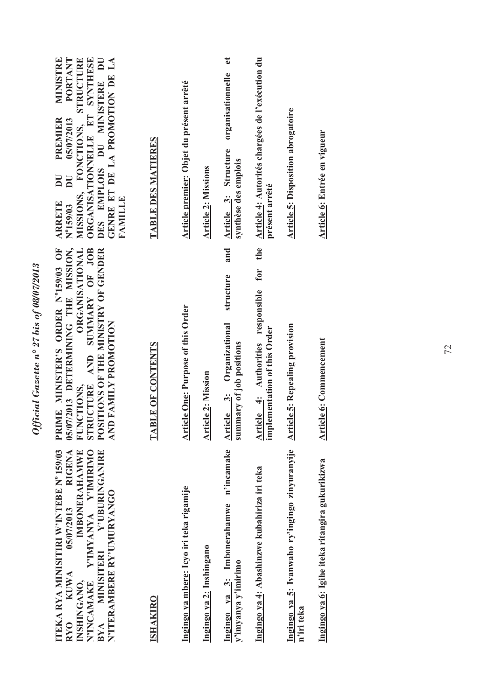| BYA MINISITERI Y'UBURINGANIRE<br>ITEKA RYA MINISITIRI W'INTEBE Nº 159/03<br><b>RIGENA</b><br>IMBONERAHAMWE<br>N'INCAMAKE Y'IMYANYA Y'IMIRIMO<br>N'ITERAMBERE RY'UMURYANGO<br>05/07/2013<br><b>KUWA</b><br>NSHINGANO,<br><b>RYO</b> | 05/07/2013 DETERMINING THE MISSION,<br><b>ORGANISATIONAL</b><br>STRUCTURE AND SUMMARY OF JOB<br>POSITIONS OF THE MINISTRY OF GENDER<br>PRIME MINISTER'S ORDER Nº159/03 OF<br>AND FAMILY PROMOTION<br>FUNCTIONS, | PORTANT<br>ORGANISATIONNELLE ET SYNTHESE<br>MINISTRE<br>STRUCTURE<br>DES EMPLOIS DU MINISTERE DU<br>GENRE ET DE LA PROMOTION DE LA<br><b>PREMIER</b><br>05/07/2013<br>MISSIONS, FONCTIONS,<br>$\overline{\mathbf{D}}$<br>$\overline{\mathbf{D}}$<br><b>FAMILLE</b><br><b>ARRETE</b><br>Nº159/03 |
|------------------------------------------------------------------------------------------------------------------------------------------------------------------------------------------------------------------------------------|-----------------------------------------------------------------------------------------------------------------------------------------------------------------------------------------------------------------|-------------------------------------------------------------------------------------------------------------------------------------------------------------------------------------------------------------------------------------------------------------------------------------------------|
| <b>ISHAKIRO</b>                                                                                                                                                                                                                    | TABLE OF CONTENTS                                                                                                                                                                                               | TABLE DES MATIERES                                                                                                                                                                                                                                                                              |
| Ingingo ya mbere: Icyo iri teka rigamije                                                                                                                                                                                           | <b>Article One: Purpose of this Order</b>                                                                                                                                                                       | Article premier: Objet du présent arrêté                                                                                                                                                                                                                                                        |
| Ingingo ya 2: Inshingano                                                                                                                                                                                                           | <b>Article 2: Mission</b>                                                                                                                                                                                       | <b>Article 2: Missions</b>                                                                                                                                                                                                                                                                      |
| n'incamake<br>Ingingo ya 3: Imbonerahamwe<br>y'imyanya y'imirimo                                                                                                                                                                   | and<br>structure<br>Article 3: Organizational<br>summary of job positions                                                                                                                                       | $\mathbf{e}$<br>organisationnelle<br>Article 3: Structure<br>synthèse des emplois                                                                                                                                                                                                               |
| Ingingo ya 4: Abashinzwe kubahiriza iri teka                                                                                                                                                                                       | the<br>for<br>Article 4: Authorities responsible<br>implementation of this Order                                                                                                                                | Article 4: Autorités chargées de l'exécution du<br>présent arrêté                                                                                                                                                                                                                               |
| Ingingo ya 5: Ivanwaho ry'ingingo zinyuranyije<br>n'iri teka                                                                                                                                                                       | <b>Article 5: Repealing provision</b>                                                                                                                                                                           | <b>Article 5: Disposition abrogatoire</b>                                                                                                                                                                                                                                                       |
| Ingingo ya 6: Igihe iteka ritangira gukurikizwa                                                                                                                                                                                    | <b>Article 6: Commencement</b>                                                                                                                                                                                  | Article 6: Entrée en vigueur                                                                                                                                                                                                                                                                    |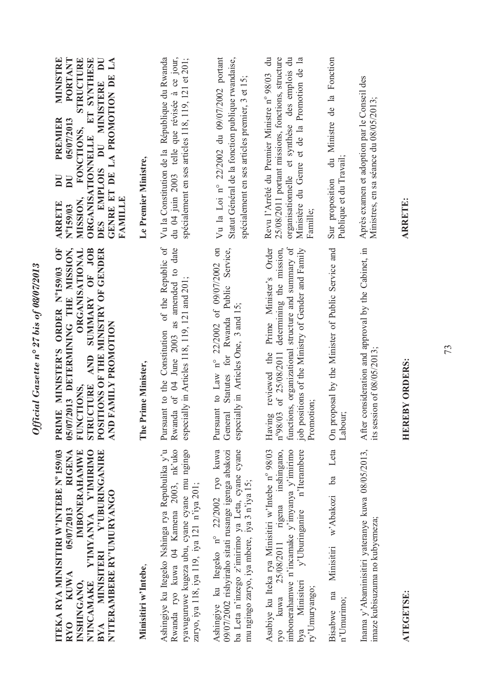| Ashingiye ku Itegeko Nshinga rya Repubulika y'u<br>ITEKA RYA MINISITIRI W'INTEBE Nº 159/03<br><b>RIGENA</b><br>VIMYANYA AYIMIRIMO<br>Y'UBURINGANIRE<br><b>IMBONERAHAMWE</b><br>N'ITERAMBERE RY'UMURYANGO<br>05/07/2013                                                                                                                      | Pursuant to the Constitution of the Republic of<br>05/07/2013 DETERMINING THE MISSION,<br>AND SUMMARY OF JOB<br><b>ORGANISATIONAL</b><br>POSITIONS OF THE MINISTRY OF GENDER<br>PRIME MINISTER'S ORDER Nº159/03 OF<br>AND FAMILY PROMOTION<br>Prime Minister,<br>STRUCTURE<br>FUNCTIONS,<br>The | Vu la Constitution de la République du Rwanda<br>DES EMPLOIS DU MINISTERE DU<br>MINISTRE<br>STRUCTURE<br>ORGANISATIONNELLE ET SYNTHESE<br>$\mathbf{L}$<br><b>PORTANT</b><br>GENRE ET DE LA PROMOTION DE<br>PREMIER<br>05/07/2013<br>FONCTIONS,<br>Le Premier Ministre,<br>DU<br>$\overline{\mathbf{D}}$<br>MISSION,<br><b>FAMILLE</b><br><b>ARRETE</b><br>Nº159/03 |
|---------------------------------------------------------------------------------------------------------------------------------------------------------------------------------------------------------------------------------------------------------------------------------------------------------------------------------------------|-------------------------------------------------------------------------------------------------------------------------------------------------------------------------------------------------------------------------------------------------------------------------------------------------|--------------------------------------------------------------------------------------------------------------------------------------------------------------------------------------------------------------------------------------------------------------------------------------------------------------------------------------------------------------------|
| Rwanda ryo kuwa 04 Kamena 2003, nk'uko<br>ryavuguruwe kugeza ubu, cyane cyane mu ngingo<br>ba Leta n'inzego z'imirimo ya Leta, cyane cyane<br>Ashingiye ku Itegeko n° 22/2002 ryo kuwa<br>09/07/2002 rishyiraho sitati rusange igenga abakozi<br>mu ngingo zaryo, iya mbere, iya 3 n'iya 15;<br>zaryo, iya 118, iya 119, iya 121 n'iya 201; | Rwanda of 04 June 2003 as amended to date<br>Pursuant to Law n° 22/2002 of 09/07/2002 on<br>General Statutes for Rwanda Public Service,<br>especially in Articles 118, 119, 121 and 201;<br>especially in Articles One, 3 and 15;                                                               | Vu la Loi nº 22/2002 du 09/07/2002 portant<br>Statut Général de la fonction publique rwandaise,<br>du 04 juin 2003 telle que révisée à ce jour,<br>spécialement en ses articles 118, 119, 121 et 201;<br>spécialement en ses articles premier, 3 et 15;                                                                                                            |
| Asubiye ku Iteka rya Minisitiri w'Intebe nº 98/03<br>y'Uburinganire n'Iterambere<br>ryo kuwa 25/08/2011 rigena inshingano,<br>imbonerahamwe n'incamake y'imyanya y'imirimo                                                                                                                                                                  | functions, organizational structure and summary of<br>Prime Minister's Order<br>determining the mission,<br>job positions of the Ministry of Gender and Family<br>n°98/03 of 25/08/2011<br>Having reviewed the<br>Promotion;                                                                    | Revu l'Arrêté du Premier Ministre nº 98/03 du<br>25/08/2011 portant missions, fonctions, structure<br>organisationnelle et synthèse des emplois du<br>Ministère du Genre et de la Promotion de la<br>Famille;                                                                                                                                                      |
| ba Leta<br>w'Abakozi                                                                                                                                                                                                                                                                                                                        | On proposal by the Minister of Public Service and<br>Labour;                                                                                                                                                                                                                                    | du Ministre de la Fonction<br>Publique et du Travail;<br>Sur proposition                                                                                                                                                                                                                                                                                           |
|                                                                                                                                                                                                                                                                                                                                             | Inama y'Abaminisitiri yateranye kuwa 08/05/2013, After consideration and approval by the Cabinet, in<br>its session of $08/05/2013$ ;                                                                                                                                                           | Après examen et adoption par le Conseil des<br>Ministres, en sa séance du 08/05/2013;                                                                                                                                                                                                                                                                              |
|                                                                                                                                                                                                                                                                                                                                             | <b>REBY ORDERS:</b><br>EHE                                                                                                                                                                                                                                                                      | <b>ARRETE:</b>                                                                                                                                                                                                                                                                                                                                                     |

Official Gazette nº 27 bis of 08/07/2013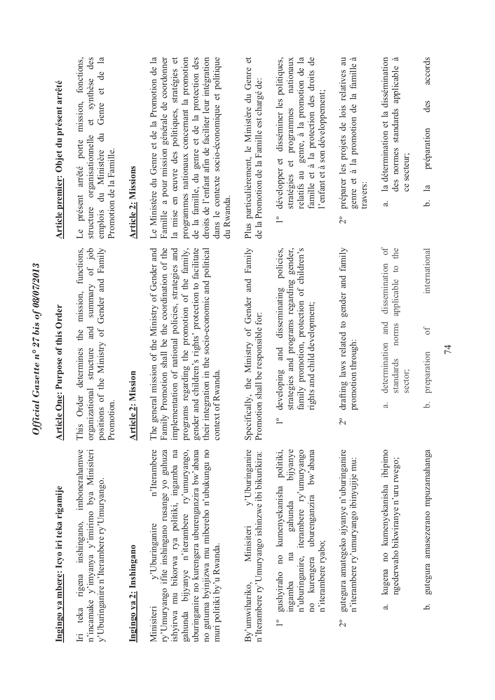| Ingingo ya mbere: Icyo iri teka rigamije                                                                                                                                                                                                                                                                                          | <b>Article One: Purpose of this Order</b>                                                                                                                                                                                                                                                                                                                   | Article premier: Objet du présent arrêté                                                                                                                                                                                                                                                                                                                                      |
|-----------------------------------------------------------------------------------------------------------------------------------------------------------------------------------------------------------------------------------------------------------------------------------------------------------------------------------|-------------------------------------------------------------------------------------------------------------------------------------------------------------------------------------------------------------------------------------------------------------------------------------------------------------------------------------------------------------|-------------------------------------------------------------------------------------------------------------------------------------------------------------------------------------------------------------------------------------------------------------------------------------------------------------------------------------------------------------------------------|
| imbonerahamwe<br>n'incamake y'imyanya y'imirimo bya Minisiteri<br>y'Uburinganire n'Iterambere ry'Umuryango.<br>rigena inshingano,<br>Iri teka                                                                                                                                                                                     | of job<br>positions of the Ministry of Gender and Family<br>functions,<br>summary<br>mission,<br>and<br>the<br>structure<br>determines<br>organizational<br>Order<br>Promotion<br>This                                                                                                                                                                      | fonctions,<br>et synthèse des<br>$\overline{a}$<br>Genre et de<br>mission,<br>$\ddot{a}$<br>organisationnelle<br>arrêté porte<br>du Ministère<br>Promotion de la Famille.<br>Le présent<br>structure<br>emplois                                                                                                                                                               |
| Ingingo ya 2: Inshingano                                                                                                                                                                                                                                                                                                          | <b>Article 2: Mission</b>                                                                                                                                                                                                                                                                                                                                   | <b>Article 2: Missions</b>                                                                                                                                                                                                                                                                                                                                                    |
| n'Iterambere<br>ry'Umuryango ifite inshingano rusange yo guhuza<br>gahunda bijyanye n'iterambere ry'umuryango,<br>no gutuma byinjizwa mu mibereho n'ubukungu no<br>ishyirwa mu bikorwa rya politiki, ingamba na<br>uburinganire no kurengera uburenganzira bw'abana<br>y'Uburinganire<br>muri politiki by'u Rwanda.<br>Minisiteri | Family Promotion shall be the coordination of the<br>general mission of the Ministry of Gender and<br>implementation of national policies, strategies and<br>programs regarding the promotion of the family,<br>gender and children's rights' protection to facilitate<br>their integration in the socio-economic and political<br>context of Rwanda<br>The | Le Ministère du Genre et de la Promotion de la<br>Famille a pour mission générale de coordonner<br>programmes nationaux concernant la promotion<br>de la famille, du genre et de la protection des<br>dans le contexte socio-économique et politique<br>la mise en œuvre des politiques, stratégies et<br>droits de l'enfant afin de faciliter leur intégration<br>du Rwanda. |
| y'Uburinganire<br>n'Iterambere ry'Umuryango ishinzwe ibi bikurikira:<br>Minisiteri<br>By'umwihariko,                                                                                                                                                                                                                              | Specifically, the Ministry of Gender and Family<br>Promotion shall be responsible for:                                                                                                                                                                                                                                                                      | Plus particulièrement, le Ministère du Genre et<br>de la Promotion de la Famille est chargé de:                                                                                                                                                                                                                                                                               |
| bijyanye<br>bw'abana<br>gushyiraho no kumenyekanisha politiki,<br>iterambere ry'umuryango<br>uburenganzira<br>gahunda<br>n'iterambere ryabo;<br>na<br>n'uburinganire,<br>no kurengera<br>ingamba<br>$\overline{\phantom{0}}^{\circ}$                                                                                              | policies,<br>strategies and programs regarding gender,<br>family promotion, protection of children's<br>developing and disseminating<br>rights and child development;<br>$\overline{1}^{\circ}$                                                                                                                                                             | développer et disséminer les politiques,<br>relatifs au genre, à la promotion de la<br>famille et à la protection des droits de<br>nationaux<br>l'enfant et à son développement;<br>stratégies et programmes<br>$\overline{1}^{\circ}$                                                                                                                                        |
| gutegura amategeko ajyanye n'uburinganire<br>n'iterambere ry'umuryango ibinyujije mu:<br>$\tilde{C}$                                                                                                                                                                                                                              | drafting laws related to gender and family<br>promotion through:<br>$\overline{c}$                                                                                                                                                                                                                                                                          | préparer les projets de lois relatives au<br>à<br>la famille<br>genre et à la promotion de<br>travers:<br>$2^{\circ}$                                                                                                                                                                                                                                                         |
| kugena no kumenyekanisha ibipimo<br>ngederwaho bikwiranye n'uru rwego;<br>$\ddot{\sigma}$                                                                                                                                                                                                                                         | $\sigma$<br>the<br>dissemination<br>applicable to<br>and<br>norms<br>determination<br>standards<br>sector;<br>$\ddot{a}$                                                                                                                                                                                                                                    | la détermination et la dissémination<br>.ದ<br>des normes standards applicable<br>ce secteur;<br>$\ddot{a}$                                                                                                                                                                                                                                                                    |
| gutegura amasezerano mpuzamahanga<br>خ.                                                                                                                                                                                                                                                                                           | international<br>of<br>preparation<br>.<br>ف                                                                                                                                                                                                                                                                                                                | accords<br>des<br>préparation<br>$\overline{\mathbf{a}}$<br>.<br>م                                                                                                                                                                                                                                                                                                            |

Official Gazette nº 27 bis of 08/07/2013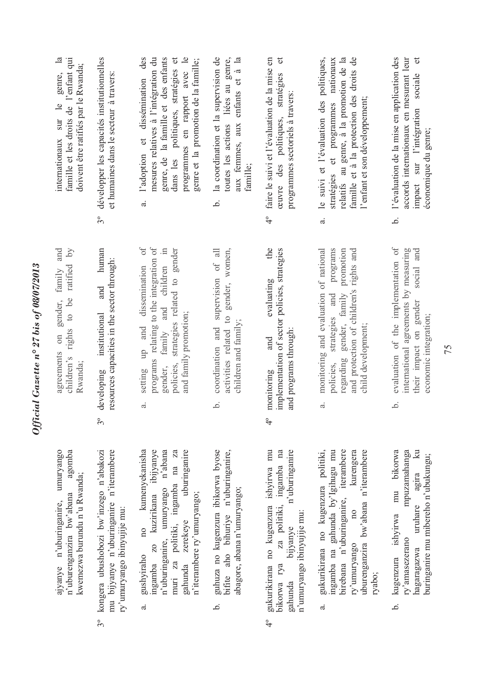| famille et les droits de l'enfant qui<br>$\mathbf{a}$<br>doivent être ratifiés par le Rwanda;<br>genre,<br>$\frac{1}{2}$<br>internationaux sur | développer les capacités institutionnelles<br>et humaines dans le secteur à travers:<br>$3^{\circ}$                             | $\overline{\phantom{a}}$<br>des<br>mesures relatives à l'intégration du<br>dans les politiques, stratégies et<br>genre, de la famille et des enfants<br>genre et la promotion de la famille;<br>programmes en rapport avec<br>dissémination<br>et<br>l'adoption<br>ಡ | liées au genre,<br>b. la coordination et la supervision de<br>aux femmes, aux enfants et à la<br>toutes les actions<br>famille; | faire le suivi et l'évaluation de la mise en<br>$\sigma$<br>ceuvre des politiques, stratégies<br>programmes sectoriels à travers:<br>$\frac{1}{4}$                      | le suivi et l'évaluation des politiques,<br>relatifs au genre, à la promotion de la<br>famille et à la protection des droits de<br>stratégies et programmes nationaux<br>l'enfant et son développement;<br>$\vec{a}$ | l'évaluation de la mise en application des<br>accords internationaux en mesurant leur<br>$\sigma$<br>impact sur l'intégration sociale<br>économique du genre;<br>.<br>ف |
|------------------------------------------------------------------------------------------------------------------------------------------------|---------------------------------------------------------------------------------------------------------------------------------|----------------------------------------------------------------------------------------------------------------------------------------------------------------------------------------------------------------------------------------------------------------------|---------------------------------------------------------------------------------------------------------------------------------|-------------------------------------------------------------------------------------------------------------------------------------------------------------------------|----------------------------------------------------------------------------------------------------------------------------------------------------------------------------------------------------------------------|-------------------------------------------------------------------------------------------------------------------------------------------------------------------------|
| and<br>ratified by<br>family<br>rights to be<br>gender,<br>$\sin$<br>agreements<br>children's<br>Rwanda;                                       | human<br>resources capacities in the sector through:<br>and<br><i>institutional</i><br>developing<br>$\frac{1}{2}$              | $\rm ^o$<br>programs relating to the integration of<br>$\equiv$<br>strategies related to gender<br>children<br>dissemination<br>and<br>and family promotion;<br>and<br>family<br>qtn<br>policies,<br>gender,<br>setting<br>$\ddot{a}$                                | supervision of all<br>gender, women,<br>activities related to<br>children and family;<br>coordination and<br>.<br>ف             | the<br>implementation of sector policies, strategies<br>evaluating<br>and programs through:<br>and<br>monitoring<br>$\frac{6}{4}$                                       | monitoring and evaluation of national<br>programs<br>promotion<br>and protection of children's rights and<br>gender, family<br>strategies and<br>child development;<br>regarding<br>policies,<br>a.                  | evaluation of the implementation of<br>international agreements by measuring<br>social and<br>gender<br>economic integration;<br>their impact on<br>.<br>ف              |
| agomba<br>ajyanye n'uburinganire, umuryango<br>kwemezwa burundu n'u Rwanda;<br>n'uburenganzira bw'abana                                        | kongera ubushobozi bw'inzego n'abakozi<br>mu bijyanye n'uburinganire n'iterambere<br>ry'umuryango ibinyujije mu:<br>$3^{\circ}$ | no kumenyekanisha<br>kuzirikana ibijyanye<br>muri za politiki, ingamba na za<br>n'uburinganire, umuryango n'abana<br>uburinganire<br>n'iterambere ry'umuryango;<br>gahunda zerekeye<br><b>ZO</b><br>gushyiraho<br>ingamba<br>ಡ                                       | guhuza no kugenzura ibikorwa byose<br>bifite aho bihuriye n'uburinganire,<br>abagore, abana n'umuryango;<br>نم                  | gukurikirana no kugenzura ishyirwa mu<br>n'uburinganire<br>za politiki, ingamba na<br>n'umuryango ibinyujije mu:<br>bijyanye<br>bikorwa rya<br>gahunda<br>$\frac{6}{4}$ | ingamba na gahunda by'Igihugu mu<br>birebana n'uburinganire, iterambere<br>kurengera<br>uburenganzira bw'abana n'iterambere<br>gukurikirana no kugenzura politiki,<br>$\overline{10}$<br>ry'umuryango<br>ryabo;<br>ಹ | mu bikorwa<br>mpuzamahanga<br>$\mathbb{R}$<br>buringanire mu mibereho n'ubukungu;<br>agira<br>uruhare<br>ishyirwa<br>ry'amasezerano<br>hagaragazwa<br>kugenzura<br>نم.  |

*Official Gazette n° 27 bis of 08/07/2013*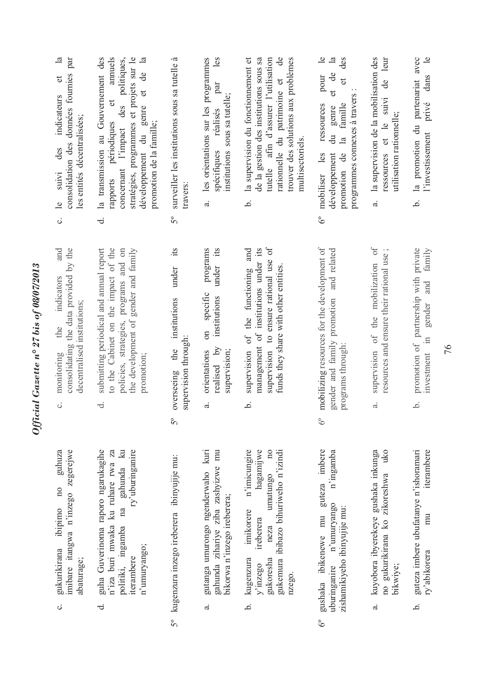| $\mathbf{a}$<br>consolidation des données fournies par<br>$\sigma$<br>indicateurs<br>les entités décentralisées;<br>des<br>suivi<br>$\overline{e}$<br>ن<br> | des politiques,<br>stratégies, programmes et projets sur le<br>$\mathbb{E}$<br>la transmission au Gouvernement des<br>annuels<br>ප්<br>$\sigma$<br>$\sigma$<br>genre<br>périodiques<br>promotion de la famille;<br>l'impact<br>développement du<br>concernant<br>rapports<br>ಕ | surveiller les institutions sous sa tutelle à<br>travers<br>$5^{\circ}$                  | les<br>les orientations sur les programmes<br>par<br>sous sa tutelle;<br>réalisés<br>spécifiques<br>institutions<br><sub>ದ</sub> | rationnelle du patrimoine et de<br>de la gestion des institutions sous sa<br>la supervision du fonctionnement et<br>tutelle afin d'assurer l'utilisation<br>trouver des solutions aux problèmes<br>multisectoriels.<br>.<br>ص | $\mathbf{e}$<br>$\mathbf{a}$<br>des<br>ಕೆ<br>pour<br>đ<br>programmes connexes à travers :<br>$\sigma$<br>famille<br>ressources<br>genre<br>du<br>$\mathbb{E}$<br>promotion de<br>mobiliser les<br>développement<br>$6^{\circ}$ | la supervision de la mobilisation des<br>de leur<br>ressources et le suivi<br>utilisation rationnelle;<br>$\ddot{a}$ | $\frac{1}{2}$<br>la promotion du partenariat avec<br>dans<br>privé<br>l'investissement<br>.<br>ف     |
|-------------------------------------------------------------------------------------------------------------------------------------------------------------|--------------------------------------------------------------------------------------------------------------------------------------------------------------------------------------------------------------------------------------------------------------------------------|------------------------------------------------------------------------------------------|----------------------------------------------------------------------------------------------------------------------------------|-------------------------------------------------------------------------------------------------------------------------------------------------------------------------------------------------------------------------------|--------------------------------------------------------------------------------------------------------------------------------------------------------------------------------------------------------------------------------|----------------------------------------------------------------------------------------------------------------------|------------------------------------------------------------------------------------------------------|
| and<br>consolidating the data provided by the<br>indicators<br>decentralised institutions;<br>the<br>monitoring<br>ပ                                        | submitting periodical and annual report<br>to the Cabinet on the impact of the<br>policies, strategies, programs and on<br>the development of gender and family<br>promotion;<br>ಕ                                                                                             | its<br>under<br>institutions<br>supervision through:<br>the<br>overseeing<br>$5^{\circ}$ | its<br>programs<br>under<br>on specific<br>institutions<br>realised by<br>orientations<br>supervision;<br>a.                     | supervision to ensure rational use of<br>management of institutions under its<br>supervision of the functioning and<br>funds they share with other entities.<br>خ.                                                            | mobilizing resources for the development of<br>gender and family promotion and related<br>programs through:<br>$\delta^{\circ}$                                                                                                | supervision of the mobilization of<br>resources and ensure their rational use;<br>$\overline{a}$ .                   | promotion of partnership with private<br>family<br>and<br>gender<br>$\equiv$<br>investment<br>.<br>ف |
| imibare itangwa n'inzego zegerejwe<br>guhuza<br>$\overline{10}$<br>ibipimo<br>gukurikirana<br>abaturage;<br>$\ddot{\circ}$                                  | guha Guverinoma raporo ngarukagihe<br>$\mathbb{R}$<br>n'iza buri mwaka ku ruhare rwa za<br>ry'uburinganire<br>gahunda<br>na<br>politiki, ingamba<br>n'umuryango;<br>iterambere<br>ಕ                                                                                            | kugenzura inzego ireberera ibinyujije mu:<br>$5^{\circ}$                                 | gutanga umurongo ngenderwaho kuri<br>gahunda zihariye ziba zashyizwe mu<br>bikorwa n'inzego ireberera;<br>$\vec{a}$              | hagamijwe<br>$\overline{n}$<br>n'imicungire<br>gukemura ibibazo bihuriweho n'izindi<br>umutungo<br>imikorere<br>ireberera<br>neza<br>kugenzura<br>gukoresha<br>y'inzego<br>nzego.<br>.<br>ف                                   | guteza imbere<br>n'ingamba<br>n'umuryango<br>zishamikiyeho ibinyujije mu:<br>gushaka ibikenewe mu<br>uburinganire<br>$\delta^{\circ}$                                                                                          | kuyobora ibyerekeye gushaka inkunga<br>uko<br>no gukurikirana ko zikoreshwa<br>bikwiye;<br>$\vec{a}$                 | iterambere<br>guteza imbere ubufatanye n'ishoramari<br>mu<br>ry'abikorera<br>خ                       |

Official Gazette nº 27 bis of 08/07/2013 *Official Gazette n° 27 bis of 08/07/2013*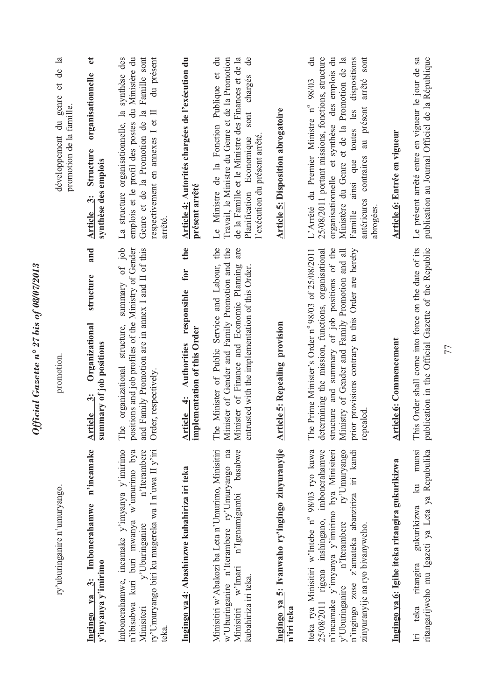| ry'uburinganire n'umuryango.                                                                                                                                                                                                                                                       | promotion.                                                                                                                                                                                                                                                                          | développement du genre et de la<br>promotion de la famille.                                                                                                                                                                                                                                                                       |
|------------------------------------------------------------------------------------------------------------------------------------------------------------------------------------------------------------------------------------------------------------------------------------|-------------------------------------------------------------------------------------------------------------------------------------------------------------------------------------------------------------------------------------------------------------------------------------|-----------------------------------------------------------------------------------------------------------------------------------------------------------------------------------------------------------------------------------------------------------------------------------------------------------------------------------|
| n'incamake<br>Ingingo ya 3: Imbonerahamwe<br>y'imyanya y'imirimo                                                                                                                                                                                                                   | and<br>structure<br>Organizational<br>summary of job positions<br>$\ddot{\bm{v}}$<br><b>Article</b>                                                                                                                                                                                 | $\mathbf{d}$<br>organisationnelle<br>Structure<br>synthèse des emplois<br>$\ddot{\bm{x}}$<br>Article                                                                                                                                                                                                                              |
| ry'Umuryango biri ku mugereka wa I n'uwa II y'iri<br>Imbonerahamwe, incamake y'imyanya y'imirimo<br>n'ibisabwa kuri buri mwanya w'umurimo bya<br>n'Iterambere<br>y'Uburinganire<br>Minisiteri<br>teka.                                                                             | positions and job profiles of the Ministry of Gender<br>summary of job<br>and Family Promotion are in annex I and II of this<br>structure,<br>organizational<br>Order, respectively.<br>The                                                                                         | La structure organisationnelle, la synthèse des<br>emplois et le profil des postes du Ministère du<br>Famille sont<br>du présent<br>Genre et de la Promotion de la<br>respectivement en annexes I et II<br>arreté                                                                                                                 |
| Ingingo ya 4: Abashinzwe kubahiriza iri teka                                                                                                                                                                                                                                       | the<br>for<br>Article 4: Authorities responsible<br>implementation of this Order                                                                                                                                                                                                    | Article 4: Autorités chargées de l'exécution du<br>présent arrêté                                                                                                                                                                                                                                                                 |
| Minisitiri w'Abakozi ba Leta n'Umurimo, Minisitiri<br>w'Uburinganire n'Iterambere ry'Umuryango na<br>basabwe<br>Minisitiri w'Imari n'Igenamigambi<br>kubahiriza iri teka.                                                                                                          | The Minister of Public Service and Labour, the<br>are<br>Minister of Gender and Family Promotion and the<br>Minister of Finance and Economic Planning<br>entrusted with the implementation of this Order.                                                                           | Le Ministre de la Fonction Publique et du<br>Travail, le Ministre du Genre et de la Promotion<br>de la Famille et le Ministre des Finances et de la<br>$\mathbf{d}\mathbf{e}$<br>sont charges<br>Planification Economique<br>l'exécution du présent arrêté.                                                                       |
| Ingingo ya 5: Ivanwaho ry'ingingo zinyuranyije<br>n'iri teka                                                                                                                                                                                                                       | <b>Article 5: Repealing provision</b>                                                                                                                                                                                                                                               | Article 5: Disposition abrogatoire                                                                                                                                                                                                                                                                                                |
| Iteka rya Minisitiri w'Intebe nº 98/03 ryo kuwa<br>25/08/2011 rigena inshingano, imbonerahamwe<br>n'incamake y'imyanya y'imirimo bya Minisiteri<br>n'Iterambere ry'Umuryango<br>n'ingingo zose z'amateka abanziriza iri kandi<br>zinyuranyije na ryo bivanyweho.<br>y'Uburinganire | structure and summary of job positions of the<br>provisions contrary to this Order are hereby<br>The Prime Minister's Order n° 98/03 of 25/08/2011<br>determining the mission, functions, organisational<br>Ministry of Gender and Family Promotion and all<br>repealed.<br>prior t | $\ddot{a}$<br>25/08/2011 portant missions, fonctions, structure<br>organisationnelle et synthèse des emplois du<br>Ministère du Genre et de la Promotion de la<br>dispositions<br>sont<br>arrêté<br>L'Arrêté du Premier Ministre nº 98/03<br>ainsi que toutes les<br>au présent<br>antérieures contraires<br>Famille<br>abrogées. |
| Ingingo ya 6: Igihe iteka ritangira gukurikizwa                                                                                                                                                                                                                                    | <b>Article 6: Commencement</b>                                                                                                                                                                                                                                                      | Article 6: Entrée en vigueur                                                                                                                                                                                                                                                                                                      |
| munsi<br>ritangarijweho mu Igazeti ya Leta ya Repubulika<br>ritangira gukurikizwa ku<br>teka<br>$\Xi$                                                                                                                                                                              | This Order shall come into force on the date of its<br>publication in the Official Gazette of the Republic                                                                                                                                                                          | Le présent arrêté entre en vigueur le jour de sa<br>publication au Journal Officiel de la République                                                                                                                                                                                                                              |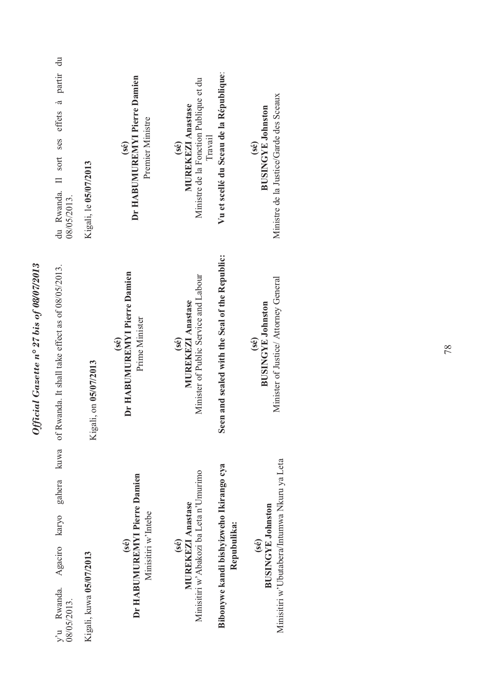| du Rwanda. Il sort ses effets à partir du<br>08/05/2013.         | Kigali, le 05/07/2013   | Dr HABUMUREMYI Pierre Damien<br>Premier Ministre<br>(se)    | Vu et scellé du Sceau de la République:<br>Ministre de la Fonction Publique et du<br><b>MUREKEZI Anastase</b><br><b>Travail</b><br>(se) | Ministre de la Justice/Garde des Sceaux<br><b>BUSINGYE Johnston</b><br>(sé)      |
|------------------------------------------------------------------|-------------------------|-------------------------------------------------------------|-----------------------------------------------------------------------------------------------------------------------------------------|----------------------------------------------------------------------------------|
| of Rwanda. It shall take effect as of 08/05/2013.                | Kigali, on 05/07/2013   | Dr HABUMUREMYI Pierre Damien<br>Prime Minister<br>(sé)      | Seen and sealed with the Seal of the Republic:<br>Minister of Public Service and Labour<br><b>MUREKEZI Anastase</b><br>(sé)             | Minister of Justice/ Attorney General<br><b>BUSINGYE Johnston</b><br>(se)        |
| kuwa<br>gahera<br>karyo<br>Agaciro<br>y'u Rwanda.<br>08/05/2013. | Kigali, kuwa 05/07/2013 | Dr HABUMUREMYI Pierre Damien<br>Minisitiri w'Intebe<br>(se) | Bibonywe kandi bishyizweho Ikirango cya<br>Minisitiri w'Abakozi ba Leta n'Umurimo<br>MUREKEZI Anastase<br>Repubulika:<br>(sé)           | Minisitiri w'Ubutabera/Intumwa Nkuru ya Leta<br><b>BUSINGYE Johnston</b><br>(se) |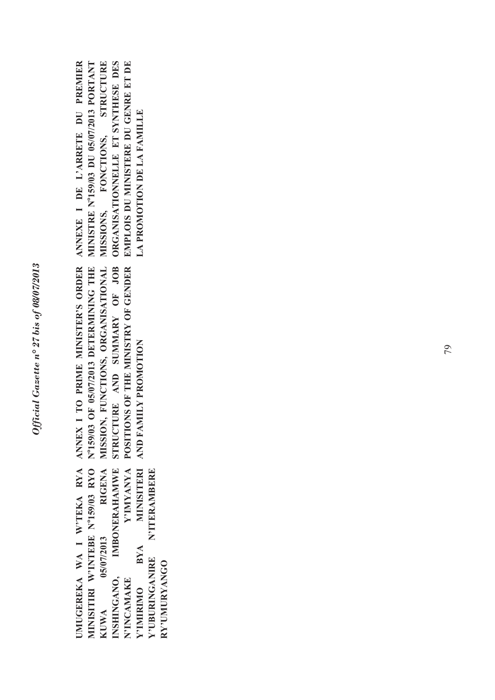UMUGEREKA WA I W'TEKA RYA MINISITIRI W'INTEBE Nº159/03 RYO **IMBONERAHAMWE** Y'IMYANYA **RIGENA MINISITERI UMUGEREKA WA I W'TEKA RYA MINISITIRI W'INTEBE No159/03 RYO KUWA 05/07/2013 RIGENA INSHINGANO, IMBONERAHAMWE N'INCAMAKE Y'IMYANYA Y'IMIRIMO BYA MINISITERI Y'UBURINGANIRE N'ITERAMBERE N'ITERAMBERE** 05/07/2013 **BYA** Y'UBURINGANIRE RY'UMURYANGO **RY'UMURYANGO**  INSHINGANO, N'INCAMAKE Y'IMIRIMO **KUWA** 

POSITIONS OF THE MINISTRY OF GENDER ANNEX I TO PRIME MINISTER'S ORDER N°159/03 OF 05/07/2013 DETERMINING THE MISSION, FUNCTIONS, ORGANISATIONAL STRUCTURE AND SUMMARY OF JOB **ANNEX I TO PRIME MINISTER'S ORDER No159/03 OF 05/07/2013 DETERMINING THE MISSION, FUNCTIONS, ORGANISATIONAL STRUCTURE AND SUMMARY OF JOB POSITIONS OF THE MINISTRY OF GENDER**  AND FAMILY PROMOTION **AND FAMILY PROMOTION** 

**ANNEXE I DE L'ARRETE DU PREMIER MINISTRE No159/03 DU 05/07/2013 PORTANT MISSIONS, FONCTIONS, STRUCTURE ORGANISATIONNELLE ET SYNTHESE DES EMPLOIS DU MINISTERE DU GENRE ET DE**  ANNEXE I DE L'ARRETE DU PREMIER MINISTRE Nº159/03 DU 05/07/2013 PORTANT MISSIONS, FONCTIONS, STRUCTURE ORGANISATIONNELLE ET SYNTHESE DES EMPLOIS DU MINISTERE DU GENRE ET DE **LA PROMOTION DE LA FAMILLE LA PROMOTION DE LA FAMILLE**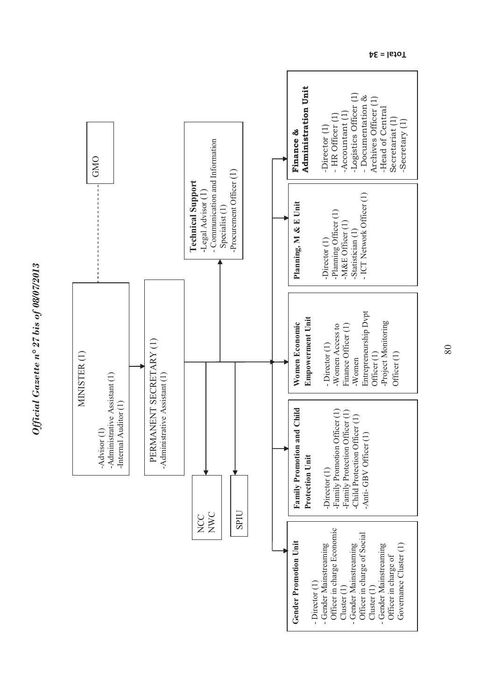

**Total = 34**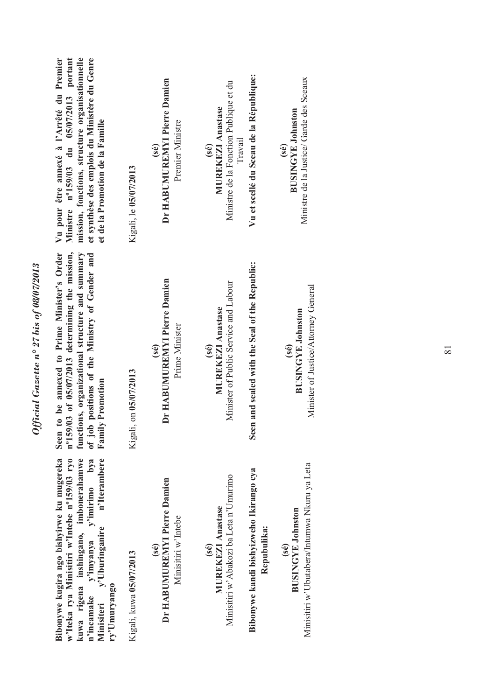| mission, fonctions, structure organisationnelle<br>et synthèse des emplois du Ministère du Genre<br>portant<br>Vu pour être annexé à l'Arrêté du Premier<br>Ministre nº159/03 du 05/07/2013<br>et de la Promotion de la Famille                          | Kigali, le 05/07/2013   | Dr HABUMUREMYI Pierre Damien<br>Premier Ministre<br>(se)    | Vu et scellé du Sceau de la République:<br>Ministre de la Justice/ Garde des Sceaux<br>Ministre de la Fonction Publique et du<br><b>MUREKEZI Anastase</b><br><b>BUSINGYE Johnston</b><br><b>Travail</b><br>(se)<br>$\mathbf{se}$ |
|----------------------------------------------------------------------------------------------------------------------------------------------------------------------------------------------------------------------------------------------------------|-------------------------|-------------------------------------------------------------|----------------------------------------------------------------------------------------------------------------------------------------------------------------------------------------------------------------------------------|
| nº159/03 of 05/07/2013 determining the mission,<br>of job positions of the Ministry of Gender and<br>to be annexed to Prime Minister's Order<br>functions, organizational structure and summary<br><b>Family Promotion</b><br>Seen                       | Kigali, on 05/07/2013   | Dr HABUMUREMYI Pierre Damien<br>Prime Minister<br>(sé)      | Seen and sealed with the Seal of the Republic:<br>Minister of Public Service and Labour<br>Minister of Justice/Attorney General<br><b>MUREKEZI Anastase</b><br><b>BUSINGYE Johnston</b><br>(sé)<br>(se)                          |
| n'Iterambere<br>w'Iteka rya Minisitiri w'Intebe nº159/03 ryo<br>kuwa rigena inshingano, imbonerahamwe<br>Bibonywe kugira ngo bishyirwe ku mugereka<br>$y^3$ imirimo b $y^2$<br>y'imyanya y<br>y'Uburinganire<br>ry'Umuryango<br>n'incamake<br>Minisiteri | Kigali, kuwa 05/07/2013 | Dr HABUMUREMYI Pierre Damien<br>Minisitiri w'Intebe<br>(se) | Minisitiri w'Ubutabera/Intumwa Nkuru ya Leta<br>Bibonywe kandi bishyizweho Ikirango cya<br>Minisitiri w'Abakozi ba Leta n'Umurimo<br><b>MUREKEZI Anastase</b><br><b>BUSINGYE Johnston</b><br>Repubulika:<br>(sé)<br>(se)         |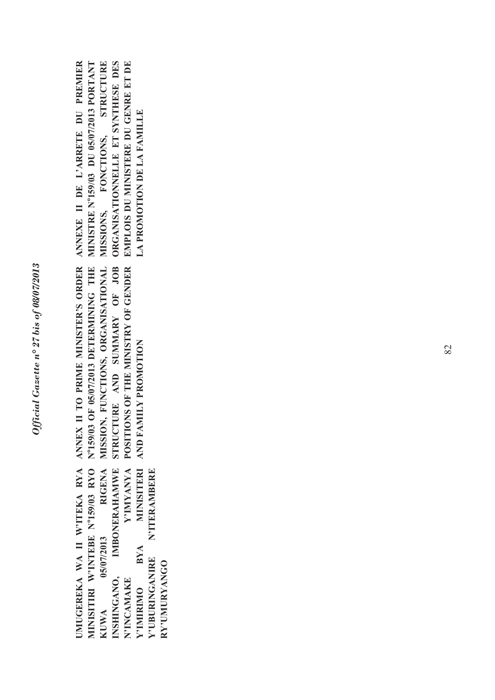UMUGEREKA WA II W'ITEKA RYA MINISITIRI W'INTEBE Nº159/03 RYO Y'IMYANYA **RIGENA IMBONERAHAMWE MINISITERI UMUGEREKA WA II W'ITEKA RYA MINISITIRI W'INTEBE No159/03 RYO KUWA 05/07/2013 RIGENA INSHINGANO, IMBONERAHAMWE N'INCAMAKE Y'IMYANYA Y'IMIRIMO BYA MINISITERI Y'UBURINGANIRE N'ITERAMBERE N'ITERAMBERE** 05/07/2013 **BYA** Y'UBURINGANIRE RY'UMURYANGO **RY'UMURYANGO** INSHINGANO, N'INCAMAKE Y'IMIRIMO **KUWA** 

POSITIONS OF THE MINISTRY OF GENDER ANNEX II TO PRIME MINISTER'S ORDER N°159/03 OF 05/07/2013 DETERMINING THE MISSION, FUNCTIONS, ORGANISATIONAL STRUCTURE AND SUMMARY OF JOB **ANNEX II TO PRIME MINISTER'S ORDER No159/03 OF 05/07/2013 DETERMINING THE MISSION, FUNCTIONS, ORGANISATIONAL STRUCTURE AND SUMMARY OF JOB POSITIONS OF THE MINISTRY OF GENDER**  AND FAMILY PROMOTION **AND FAMILY PROMOTION**

**MINISTRE No159/03 DU 05/07/2013 PORTANT ANNEXE II DE L'ARRETE DU PREMIER MISSIONS, FONCTIONS, STRUCTURE ORGANISATIONNELLE ET SYNTHESE DES EMPLOIS DU MINISTERE DU GENRE ET DE**  ANNEXE II DE L'ARRETE DU PREMIER MINISTRE Nº159/03 DU 05/07/2013 PORTANT MISSIONS, FONCTIONS, STRUCTURE ORGANISATIONNELLE ET SYNTHESE DES EMPLOIS DU MINISTERE DU GENRE ET DE **LA PROMOTION DE LA FAMILLE LA PROMOTION DE LA FAMILLE**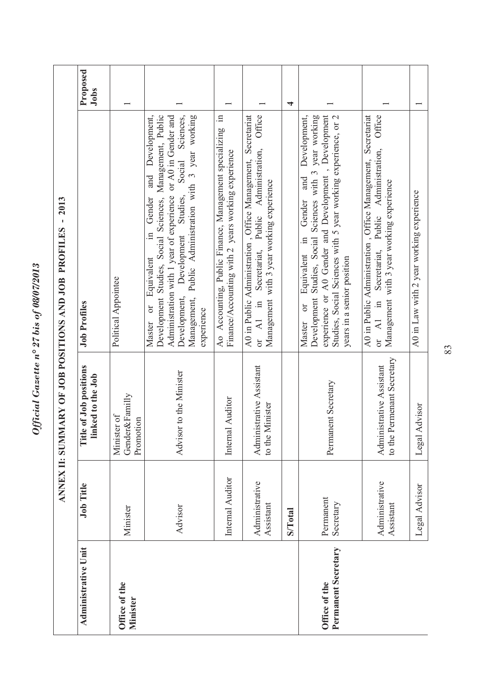| ¢<br>י<br>ול<br><b>CO8/07/2013</b><br>$\overline{\mathfrak{o}}$<br>ŕ |
|----------------------------------------------------------------------|
| 27 bis                                                               |
| $\mathbf{n}^{\circ}$<br>uzette<br>ζ                                  |
| ומו<br>$\sim T_{\rm max}$                                            |

|                                      | <b>ANNEX II: SUM</b>        |                                                        | IMARY OF JOB POSITIONS AND JOB PROFILES - 2013                                                                                                                                                                                                                                                                                            |                         |
|--------------------------------------|-----------------------------|--------------------------------------------------------|-------------------------------------------------------------------------------------------------------------------------------------------------------------------------------------------------------------------------------------------------------------------------------------------------------------------------------------------|-------------------------|
| <b>Administrative Unit</b>           | <b>Job Title</b>            | Title of Job positions<br>linked to the Job            | <b>Job Profiles</b>                                                                                                                                                                                                                                                                                                                       | Proposed<br><b>Jobs</b> |
| Office of the<br><b>Minister</b>     | Minister                    | Gender&Familly<br>Minister of<br>Promotion             | Political Appointee                                                                                                                                                                                                                                                                                                                       |                         |
|                                      | Advisor                     | Advisor to the Minister                                | Sciences,<br>Administration with 1 year of experience or A0 in Gender and<br>Management, Public Administration with 3 year working<br>Development,<br>Development Studies, Social Sciences, Management, Public<br>Social<br>and<br>Development, Development Studies,<br>Gender<br>$\Xi$<br>Equivalent<br>$\sigma$<br>experience<br>Master |                         |
|                                      | Internal Auditor            | Internal Auditor                                       | $\Xi$<br>Ao Accounting, Public Finance, Management specializing<br>Finance/Accounting with 2 years working experience                                                                                                                                                                                                                     |                         |
|                                      | Administrative<br>Assistant | Administrative Assistant<br>to the Minister            | Office<br>A0 in Public Administration, Office Management, Secretariat<br>Secretariat, Public Administration,<br>Management with 3 year working experience<br>$\overline{A1}$ in<br>0r                                                                                                                                                     |                         |
|                                      | <b>S/Total</b>              |                                                        |                                                                                                                                                                                                                                                                                                                                           | 4                       |
| Permanent Secretary<br>Office of the | Permanent<br>Secretary      | Permanent Secretary                                    | experience or A0 Gender and Development, Development<br>Development,<br>Studies, Social Sciences with 5 year working experience, or 2<br>Development Studies, Social Sciences with 3 year working<br>and<br>Gender<br>$\Xi$<br>Equivalent<br>years in a senior position<br>$\sigma$<br>Master                                             |                         |
|                                      | Administrative<br>Assistant | to the Permenant Secretary<br>Administrative Assistant | A0 in Public Administration, Office Management, Secretariat<br>Office<br>Secretariat, Public Administration,<br>Management with 3 year working experience<br>or $AI$ in                                                                                                                                                                   |                         |
|                                      | Legal Advisor               | Legal Advisor                                          | A0 in Law with 2 year working experience                                                                                                                                                                                                                                                                                                  |                         |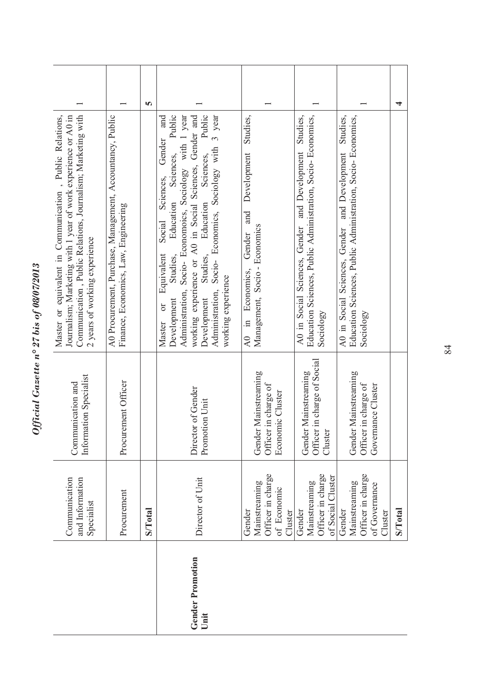|                                                                                                                                                               |                                                                                                   | m              | Public<br>Public<br>and                                                                                                                                                                                                                                                                                                                                                                      | Studies,                                                                                                   |                                                                                                                                     | Studies,                                                                                                                      |                |
|---------------------------------------------------------------------------------------------------------------------------------------------------------------|---------------------------------------------------------------------------------------------------|----------------|----------------------------------------------------------------------------------------------------------------------------------------------------------------------------------------------------------------------------------------------------------------------------------------------------------------------------------------------------------------------------------------------|------------------------------------------------------------------------------------------------------------|-------------------------------------------------------------------------------------------------------------------------------------|-------------------------------------------------------------------------------------------------------------------------------|----------------|
| Communication, Public Relations, Journalism; Marketing with<br>Journalism; Marketing with 1 year of work experience or A0 in<br>2 years of working experience | A0 Procurement, Purchase, Management, Accountancy, Public<br>Finance, Economics, Law, Engineering |                | Administration, Socio- Economoics, Sociology with 1 year<br>Socio- Economics, Sociology with 3 year<br>working experience or A0 in Social Sciences, Gender and<br>Gender<br>Sciences,<br>Sciences,<br>Sciences,<br>Education<br>Education<br>Social<br>Equivalent<br>Studies,<br>Studies,<br>working experience<br>Administration,<br>Development<br>Development<br>$\overline{C}$<br>Master | Development<br>and<br>Management, Socio - Economics<br>Gender<br>Economics,<br>$\mathbb{H}$<br>$\lambda$ 0 | Education Sciences, Public Administration, Socio- Economics,<br>A0 in Social Sciences, Gender and Development Studies,<br>Sociology | Education Sciences, Public Administration, Socio- Economics,<br>and Development<br>A0 in Social Sciences, Gender<br>Sociology |                |
| Information Specialist<br>Communication and                                                                                                                   | Procurement Officer                                                                               |                | Director of Gender<br>Promotion Unit                                                                                                                                                                                                                                                                                                                                                         | Gender Mainstreaming<br>Officer in charge of<br>Economic Cluster                                           | Officer in charge of Social<br>Gender Mainstreaming<br>ter<br>Clust                                                                 | Gender Mainstreaming<br>Officer in charge of<br>Governance Cluster                                                            |                |
| Communication<br>and Information<br>Specialist                                                                                                                | Procurement                                                                                       | <b>S/Total</b> | Director of Unit                                                                                                                                                                                                                                                                                                                                                                             | Officer in charge<br>Mainstreaming<br>of Economic<br>Gender<br>Cluster                                     | Officer in charge<br>of Social Cluster<br>Mainstreaming<br>Gender                                                                   | Officer in charge<br>Mainstreaming<br>of Governance<br>Gender<br>Cluster                                                      | <b>S/Total</b> |
|                                                                                                                                                               |                                                                                                   |                | <b>Gender Promotion</b><br>Unit                                                                                                                                                                                                                                                                                                                                                              |                                                                                                            |                                                                                                                                     |                                                                                                                               |                |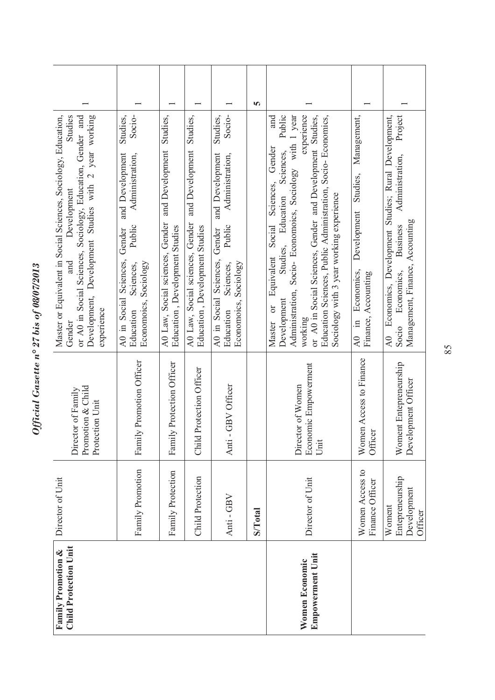| ٩<br>LUGILUIOU J<br>ì       |
|-----------------------------|
| ১                           |
| $\tilde{\mathbf{c}}$        |
| 27 bis                      |
|                             |
| $\frac{1}{2}$ $\frac{1}{2}$ |
| $n + n + n$                 |
|                             |
| n.ce                        |
| έ                           |

| <b>Child Protection Unit</b><br>Family Promotion & | Director of Unit                                    | Promotion & Child<br>Director of Family<br>Protection Unit | Development, Development Studies with 2 year working<br>Studies<br>or A0 in Social Sciences, Sociology, Education, Gender and<br>Master or Equivalent in Social Sciences, Sociology, Education,<br>Development<br>and<br>experience<br>Gender                                                                                                                                                   |   |
|----------------------------------------------------|-----------------------------------------------------|------------------------------------------------------------|-------------------------------------------------------------------------------------------------------------------------------------------------------------------------------------------------------------------------------------------------------------------------------------------------------------------------------------------------------------------------------------------------|---|
|                                                    | Family Promotion                                    | Family Promotion Officer                                   | Studies,<br>Socio-<br>and Development<br>Administration,<br>Public<br>Gender<br>A0 in Social Sciences,<br>Economoics, Sociology<br>Sciences,<br>Education                                                                                                                                                                                                                                       |   |
|                                                    | Family Protection                                   | Family Protection Officer                                  | Studies,<br>A0 Law, Social sciences, Gender and Development<br>Education, Development Studies                                                                                                                                                                                                                                                                                                   |   |
|                                                    | Child Protection                                    | Child Protection Officer                                   | Studies,<br>and Development<br>A0 Law, Social sciences, Gender<br>Education, Development Studies                                                                                                                                                                                                                                                                                                |   |
|                                                    | Anti - GBV                                          | - GBV Officer<br>Anti                                      | Socio-<br>Studies,<br>and Development<br>Administration,<br>Public<br>Gender<br>Sciences,<br>Sociology<br>Sciences,<br>A0 in Social<br>Economoics,<br>Education                                                                                                                                                                                                                                 |   |
|                                                    | <b>S/Total</b>                                      |                                                            |                                                                                                                                                                                                                                                                                                                                                                                                 | m |
| <b>Empowerment Unit</b><br>Women Economic          | Director of Unit                                    | Economic Empowerment<br>Director of Women<br>Unit          | experience<br>Public<br>Administration, Socio- Economoics, Sociology with 1 year<br>or A0 in Social Sciences, Gender and Development Studies,<br>Education Sciences, Public Administration, Socio- Economics,<br>and<br>Gender<br>Studies, Education Sciences,<br>Sciences,<br>Sociology with 3 year working experience<br>Social<br>Equivalent<br>Development<br>$\sigma$<br>working<br>Master |   |
|                                                    | Women Access to<br>Finance Officer                  | Women Access to Finance<br><b>jer</b><br>Offic             | Management,<br>Studies,<br>Development<br>Economics,<br>Finance, Accounting<br>$\Xi$<br>$\lambda$ 0                                                                                                                                                                                                                                                                                             |   |
|                                                    | Entepreneurship<br>Development<br>Woment<br>Officer | Woment Entepreneurship<br>Development Officer              | Economics, Development Studies; Rural Development,<br>Project<br>Administration,<br>Management, Finance, Accounting<br><b>Business</b><br>Economics,<br>Socio<br>$\lambda$ 0                                                                                                                                                                                                                    |   |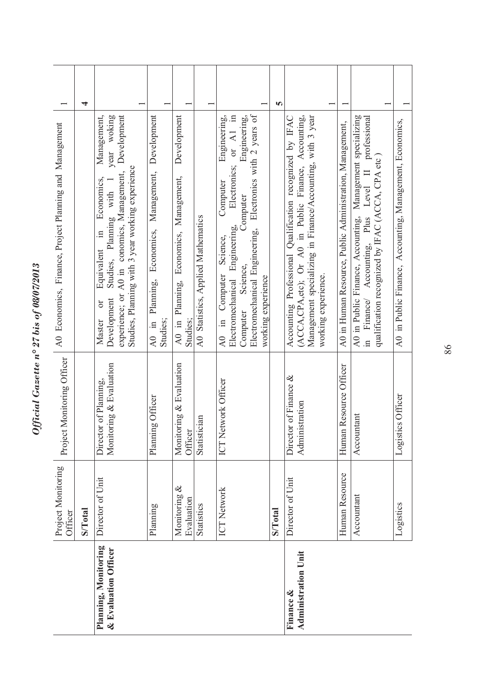| $\bullet$<br>LUU/U/U/UU   |
|---------------------------|
| $\tilde{\mathbf{c}}$<br>১ |
| 27 bis                    |
|                           |
| $\frac{1}{2}n^{\circ}$    |
| $a + b$                   |
| C.CC<br>١                 |

|                                              | Project Monitoring<br>Officer | Project Monitoring Officer                       | A0 Economics, Finance, Project Planning and Management                                                                                                                                                                                                                   |   |
|----------------------------------------------|-------------------------------|--------------------------------------------------|--------------------------------------------------------------------------------------------------------------------------------------------------------------------------------------------------------------------------------------------------------------------------|---|
|                                              | <b>S/Total</b>                |                                                  |                                                                                                                                                                                                                                                                          | 4 |
| Planning, Monitoring<br>& Evaluation Officer | Director of Unit              | Monitoring & Evaluation<br>Director of Planning, | experience; or A0 in conomics, Management, Development<br>Management,<br>year woking<br>Studies, Planning with 3 year working experience<br>Economics,<br>Studies, Planning with 1<br>$\Xi$<br>Equivalent<br>Development<br>ðľ<br>Master                                 |   |
|                                              | Planning                      | Planning Officer                                 | Development<br>Economics, Management,<br>Planning,<br>$AD$ in<br>Studies;                                                                                                                                                                                                |   |
|                                              | Monitoring &<br>Evaluation    | Monitoring & Evaluation<br>Officer               | Development<br>Economics, Management,<br>A0 in Planning,<br>Studies:                                                                                                                                                                                                     |   |
|                                              | <b>Statistics</b>             | Statistician                                     | A0 Statistics, Applied Mathematics                                                                                                                                                                                                                                       |   |
|                                              | <b>ICT Network</b>            | ICT Network Officer                              | Electromechanical Engineering, Electronics with 2 years of<br>or $AI$ in<br>Engineering,<br>Engineering,<br>Electronics;<br>Computer<br>Computer<br>Engineering,<br>Science,<br>Science,<br>A0 in Computer<br>working experience<br><b>Electromechanical</b><br>Computer |   |
|                                              | <b>S/Total</b>                |                                                  |                                                                                                                                                                                                                                                                          | m |
| <b>Administration Unit</b>                   | Director of Unit              | Director of Finance &<br>inistration<br>Admi     | Management specializing in Finance/Accounting, with 3 year<br>(ACCA,CPA,etc); Or A0 in Public Finance, Accounting,<br>Accounting Professional Qualification recognized by IFAC<br>working experience.                                                                    |   |
|                                              | Human Resource                | Human Resource Officer                           | A0 in Human Resource, Public Administration, Management,                                                                                                                                                                                                                 |   |
|                                              | Accountant                    | Accountant                                       | A0 in Public Finance, Accounting, Management specializing<br>Level II professional<br>qualification recognized by IFAC (ACCA, CPA etc)<br>in Finance/ Accounting, Plus                                                                                                   |   |
|                                              | Logistics                     | Logistics Officer                                | A0 in Public Finance, Accounting, Management, Economics,                                                                                                                                                                                                                 |   |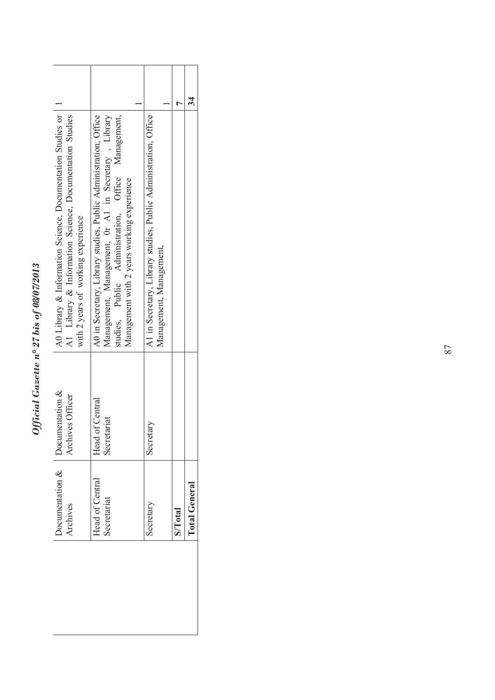## Official Gazette nº 27 bis of 08/07/2013 *Official Gazette n° 27 bis of 08/07/2013*

| A0 Library & Information Science, Documentation Studies or<br>A0 in Secretary, Library studies, Public Administration, Office<br>A1 Library & Information Science, Documentation Studies<br>Management, Management, Or A1 in Secretary, Library<br>studies, Public Administration, Office Management,<br>Management with 2 years working experience<br>with 2 years of working experience |                                                                                            |                |                      |
|-------------------------------------------------------------------------------------------------------------------------------------------------------------------------------------------------------------------------------------------------------------------------------------------------------------------------------------------------------------------------------------------|--------------------------------------------------------------------------------------------|----------------|----------------------|
|                                                                                                                                                                                                                                                                                                                                                                                           | A1 in Secretary, Library studies, Public Administration, Office<br>Management, Management, |                |                      |
| Documentation &<br>Archives Officer<br>Head of Central<br>Secretariat                                                                                                                                                                                                                                                                                                                     | Secretary                                                                                  |                |                      |
| Documentation $\&$<br>Head of Central<br>Secretariat<br>Archives                                                                                                                                                                                                                                                                                                                          | Secretary                                                                                  | <b>S/Total</b> | <b>Total General</b> |